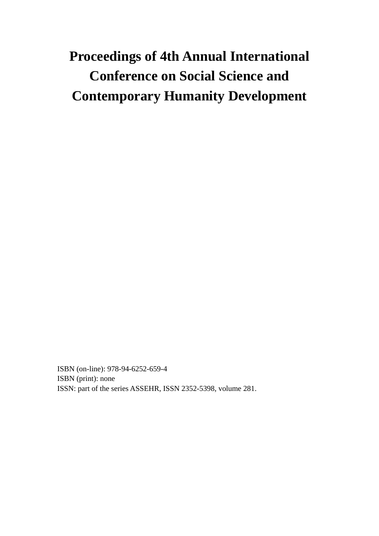# **Proceedings of 4th Annual International Conference on Social Science and Contemporary Humanity Development**

ISBN (on-line): 978-94-6252-659-4 ISBN (print): none ISSN: part of the series ASSEHR, ISSN 2352-5398, volume 281.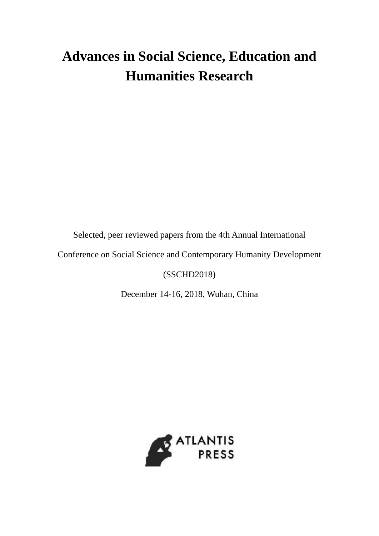## **Advances in Social Science, Education and Humanities Research**

Selected, peer reviewed papers from the 4th Annual International

Conference on Social Science and Contemporary Humanity Development

### (SSCHD2018)

December 14-16, 2018, Wuhan, China

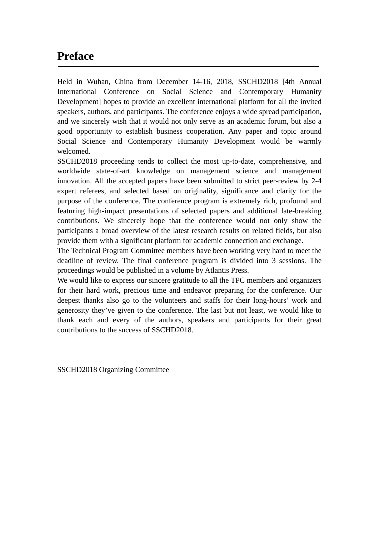### **Preface**

Held in Wuhan, China from December 14-16, 2018, SSCHD2018 [4th Annual International Conference on Social Science and Contemporary Humanity Development] hopes to provide an excellent international platform for all the invited speakers, authors, and participants. The conference enjoys a wide spread participation, and we sincerely wish that it would not only serve as an academic forum, but also a good opportunity to establish business cooperation. Any paper and topic around Social Science and Contemporary Humanity Development would be warmly welcomed.

SSCHD2018 proceeding tends to collect the most up-to-date, comprehensive, and worldwide state-of-art knowledge on management science and management innovation. All the accepted papers have been submitted to strict peer-review by 2-4 expert referees, and selected based on originality, significance and clarity for the purpose of the conference. The conference program is extremely rich, profound and featuring high-impact presentations of selected papers and additional late-breaking contributions. We sincerely hope that the conference would not only show the participants a broad overview of the latest research results on related fields, but also provide them with a significant platform for academic connection and exchange.

The Technical Program Committee members have been working very hard to meet the deadline of review. The final conference program is divided into 3 sessions. The proceedings would be published in a volume by Atlantis Press.

We would like to express our sincere gratitude to all the TPC members and organizers for their hard work, precious time and endeavor preparing for the conference. Our deepest thanks also go to the volunteers and staffs for their long-hours' work and generosity they've given to the conference. The last but not least, we would like to thank each and every of the authors, speakers and participants for their great contributions to the success of SSCHD2018.

SSCHD2018 Organizing Committee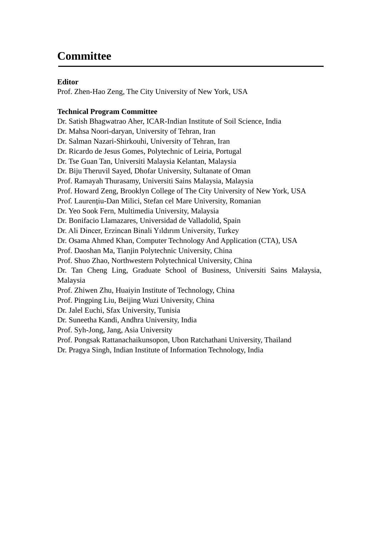## **Committee**

#### **Editor**

Prof. Zhen-Hao Zeng, The City University of New York, USA

#### **Technical Program Committee**

Dr. Satish Bhagwatrao Aher, ICAR-Indian Institute of Soil Science, India Dr. Mahsa Noori-daryan, University of Tehran, Iran Dr. Salman Nazari-Shirkouhi, University of Tehran, Iran Dr. Ricardo de Jesus Gomes, Polytechnic of Leiria, Portugal Dr. Tse Guan Tan, Universiti Malaysia Kelantan, Malaysia Dr. Biju Theruvil Sayed, Dhofar University, Sultanate of Oman Prof. Ramayah Thurasamy, Universiti Sains Malaysia, Malaysia Prof. Howard Zeng, Brooklyn College of The City University of New York, USA Prof. Laurenţiu-Dan Milici, Stefan cel Mare University, Romanian Dr. Yeo Sook Fern, Multimedia University, Malaysia Dr. Bonifacio Llamazares, Universidad de Valladolid, Spain Dr. Ali Dincer, Erzincan Binali Yıldırım University, Turkey Dr. Osama Ahmed Khan, Computer Technology And Application (CTA), USA Prof. Daoshan Ma, Tianjin Polytechnic University, China Prof. Shuo Zhao, Northwestern Polytechnical University, China Dr. Tan Cheng Ling, Graduate School of Business, Universiti Sains Malaysia, Malaysia Prof. Zhiwen Zhu, Huaiyin Institute of Technology, China Prof. Pingping Liu, Beijing Wuzi University, China Dr. Jalel Euchi, Sfax University, Tunisia Dr. Suneetha Kandi, Andhra University, India Prof. Syh-Jong, Jang, Asia University Prof. Pongsak Rattanachaikunsopon, Ubon Ratchathani University, Thailand Dr. Pragya Singh, Indian Institute of Information Technology, India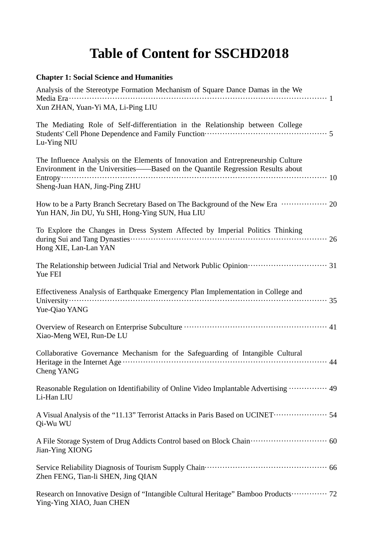## **Table of Content for SSCHD2018**

| <b>Chapter 1: Social Science and Humanities</b>                                                                                                                                                                                                                                                                                                            |
|------------------------------------------------------------------------------------------------------------------------------------------------------------------------------------------------------------------------------------------------------------------------------------------------------------------------------------------------------------|
| Analysis of the Stereotype Formation Mechanism of Square Dance Damas in the We                                                                                                                                                                                                                                                                             |
| Xun ZHAN, Yuan-Yi MA, Li-Ping LIU                                                                                                                                                                                                                                                                                                                          |
| The Mediating Role of Self-differentiation in the Relationship between College<br>Students' Cell Phone Dependence and Family Function <b>Constrainer Students'</b> Cell Phone Dependence and Family Function <b>Constrainer</b><br>Lu-Ying NIU                                                                                                             |
| The Influence Analysis on the Elements of Innovation and Entrepreneurship Culture<br>Environment in the Universities—Based on the Quantile Regression Results about                                                                                                                                                                                        |
| Sheng-Juan HAN, Jing-Ping ZHU                                                                                                                                                                                                                                                                                                                              |
| How to be a Party Branch Secretary Based on The Background of the New Era  20<br>Yun HAN, Jin DU, Yu SHI, Hong-Ying SUN, Hua LIU                                                                                                                                                                                                                           |
| To Explore the Changes in Dress System Affected by Imperial Politics Thinking<br>Hong XIE, Lan-Lan YAN                                                                                                                                                                                                                                                     |
| Yue FEI                                                                                                                                                                                                                                                                                                                                                    |
| Effectiveness Analysis of Earthquake Emergency Plan Implementation in College and<br>University $\cdots$ $\cdots$ $\cdots$ $\cdots$ $\cdots$ $\cdots$ $\cdots$ $\cdots$ $\cdots$ $\cdots$ $\cdots$ $\cdots$ $\cdots$ $\cdots$ $\cdots$ $\cdots$ $\cdots$ $\cdots$ $\cdots$ $\cdots$ $\cdots$ $\cdots$ $\cdots$ $\cdots$ $\cdots$ $\cdots$<br>Yue-Qiao YANG |
| Xiao-Meng WEI, Run-De LU                                                                                                                                                                                                                                                                                                                                   |
| Collaborative Governance Mechanism for the Safeguarding of Intangible Cultural<br>Cheng YANG                                                                                                                                                                                                                                                               |
| Reasonable Regulation on Identifiability of Online Video Implantable Advertising  49<br>Li-Han LIU                                                                                                                                                                                                                                                         |

A Visual Analysis of the "11.13" Terrorist Attacks in Paris Based on UCINET··································· 54 Qi-Wu WU

A File Storage System of Drug Addicts Control based on Block Chain······························ 60 Jian-Ying XIONG

Service Reliability Diagnosis of Tourism Supply Chain················································ 66 Zhen FENG, Tian-li SHEN, Jing QIAN

Research on Innovative Design of "Intangible Cultural Heritage" Bamboo Products ·············· 72 Ying-Ying XIAO, Juan CHEN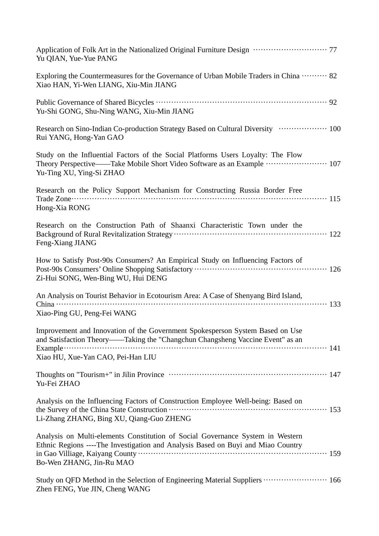| Yu QIAN, Yue-Yue PANG                                                                                                                                                                                                              |
|------------------------------------------------------------------------------------------------------------------------------------------------------------------------------------------------------------------------------------|
| Exploring the Countermeasures for the Governance of Urban Mobile Traders in China  82<br>Xiao HAN, Yi-Wen LIANG, Xiu-Min JIANG                                                                                                     |
| Yu-Shi GONG, Shu-Ning WANG, Xiu-Min JIANG                                                                                                                                                                                          |
| Research on Sino-Indian Co-production Strategy Based on Cultural Diversity  100<br>Rui YANG, Hong-Yan GAO                                                                                                                          |
| Study on the Influential Factors of the Social Platforms Users Loyalty: The Flow<br>Theory Perspective——Take Mobile Short Video Software as an Example ……………………… 107<br>Yu-Ting XU, Ying-Si ZHAO                                   |
| Research on the Policy Support Mechanism for Constructing Russia Border Free<br>Hong-Xia RONG                                                                                                                                      |
| Research on the Construction Path of Shaanxi Characteristic Town under the<br>Feng-Xiang JIANG                                                                                                                                     |
| How to Satisfy Post-90s Consumers? An Empirical Study on Influencing Factors of<br>Zi-Hui SONG, Wen-Bing WU, Hui DENG                                                                                                              |
| An Analysis on Tourist Behavior in Ecotourism Area: A Case of Shenyang Bird Island,<br>Xiao-Ping GU, Peng-Fei WANG                                                                                                                 |
| Improvement and Innovation of the Government Spokesperson System Based on Use<br>and Satisfaction Theory——Taking the "Changchun Changsheng Vaccine Event" as an<br>Example $\cdots$ and $141$<br>Xiao HU, Xue-Yan CAO, Pei-Han LIU |
| Yu-Fei ZHAO                                                                                                                                                                                                                        |
| Analysis on the Influencing Factors of Construction Employee Well-being: Based on<br>Li-Zhang ZHANG, Bing XU, Qiang-Guo ZHENG                                                                                                      |
| Analysis on Multi-elements Constitution of Social Governance System in Western<br>Ethnic Regions ----The Investigation and Analysis Based on Buyi and Miao Country<br>Bo-Wen ZHANG, Jin-Ru MAO                                     |
| Study on QFD Method in the Selection of Engineering Material Suppliers  166<br>Zhen FENG, Yue JIN, Cheng WANG                                                                                                                      |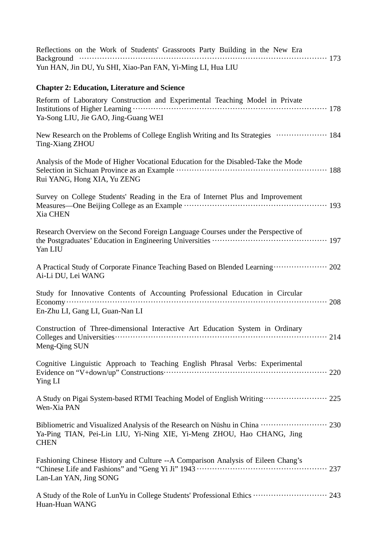| Reflections on the Work of Students' Grassroots Party Building in the New Era                                                                                        |
|----------------------------------------------------------------------------------------------------------------------------------------------------------------------|
| Yun HAN, Jin DU, Yu SHI, Xiao-Pan FAN, Yi-Ming LI, Hua LIU                                                                                                           |
| <b>Chapter 2: Education, Literature and Science</b>                                                                                                                  |
| Reform of Laboratory Construction and Experimental Teaching Model in Private<br>Ya-Song LIU, Jie GAO, Jing-Guang WEI                                                 |
| New Research on the Problems of College English Writing and Its Strategies  184<br>Ting-Xiang ZHOU                                                                   |
| Analysis of the Mode of Higher Vocational Education for the Disabled-Take the Mode<br>Rui YANG, Hong XIA, Yu ZENG                                                    |
| Survey on College Students' Reading in the Era of Internet Plus and Improvement<br>Measures—One Beijing College as an Example ………………………………………………………… 193<br>Xia CHEN |
| Research Overview on the Second Foreign Language Courses under the Perspective of<br>Yan LIU                                                                         |
| A Practical Study of Corporate Finance Teaching Based on Blended Learning  202<br>Ai-Li DU, Lei WANG                                                                 |
| Study for Innovative Contents of Accounting Professional Education in Circular<br>En-Zhu LI, Gang LI, Guan-Nan LI                                                    |
| Construction of Three-dimensional Interactive Art Education System in Ordinary<br>Meng-Qing SUN                                                                      |
| Cognitive Linguistic Approach to Teaching English Phrasal Verbs: Experimental<br>Ying LI                                                                             |
| A Study on Pigai System-based RTMI Teaching Model of English Writing  225<br>Wen-Xia PAN                                                                             |
| Ya-Ping TIAN, Pei-Lin LIU, Yi-Ning XIE, Yi-Meng ZHOU, Hao CHANG, Jing<br><b>CHEN</b>                                                                                 |
| Fashioning Chinese History and Culture -- A Comparison Analysis of Eileen Chang's<br>Lan-Lan YAN, Jing SONG                                                          |
| A Study of the Role of LunYu in College Students' Professional Ethics  243<br>Huan-Huan WANG                                                                         |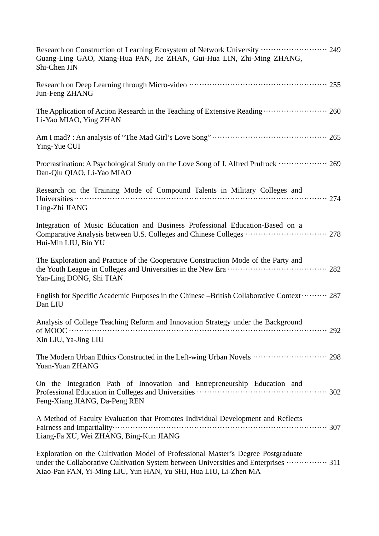| Research on Construction of Learning Ecosystem of Network University  249<br>Guang-Ling GAO, Xiang-Hua PAN, Jie ZHAN, Gui-Hua LIN, Zhi-Ming ZHANG,<br>Shi-Chen JIN                                                                           |
|----------------------------------------------------------------------------------------------------------------------------------------------------------------------------------------------------------------------------------------------|
| Jun-Feng ZHANG                                                                                                                                                                                                                               |
| The Application of Action Research in the Teaching of Extensive Reading  260<br>Li-Yao MIAO, Ying ZHAN                                                                                                                                       |
| Ying-Yue CUI                                                                                                                                                                                                                                 |
| Procrastination: A Psychological Study on the Love Song of J. Alfred Prufrock  269<br>Dan-Qiu QIAO, Li-Yao MIAO                                                                                                                              |
| Research on the Training Mode of Compound Talents in Military Colleges and<br>Ling-Zhi JIANG                                                                                                                                                 |
| Integration of Music Education and Business Professional Education-Based on a<br>Hui-Min LIU, Bin YU                                                                                                                                         |
| The Exploration and Practice of the Cooperative Construction Mode of the Party and<br>Yan-Ling DONG, Shi TIAN                                                                                                                                |
| English for Specific Academic Purposes in the Chinese –British Collaborative Context ……… 287<br>Dan LIU                                                                                                                                      |
| Analysis of College Teaching Reform and Innovation Strategy under the Background<br>Xin LIU, Ya-Jing LIU                                                                                                                                     |
| The Modern Urban Ethics Constructed in the Left-wing Urban Novels  298<br>Yuan-Yuan ZHANG                                                                                                                                                    |
| On the Integration Path of Innovation and Entrepreneurship Education and<br>Feng-Xiang JIANG, Da-Peng REN                                                                                                                                    |
| A Method of Faculty Evaluation that Promotes Individual Development and Reflects<br>Liang-Fa XU, Wei ZHANG, Bing-Kun JIANG                                                                                                                   |
| Exploration on the Cultivation Model of Professional Master's Degree Postgraduate<br>under the Collaborative Cultivation System between Universities and Enterprises  311<br>Xiao-Pan FAN, Yi-Ming LIU, Yun HAN, Yu SHI, Hua LIU, Li-Zhen MA |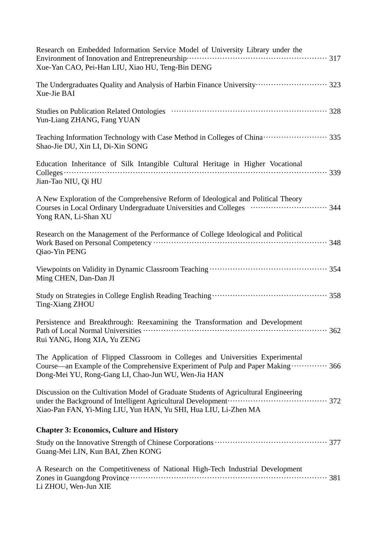| Research on Embedded Information Service Model of University Library under the<br>Xue-Yan CAO, Pei-Han LIU, Xiao HU, Teng-Bin DENG                                                                                                                                                                                       |
|--------------------------------------------------------------------------------------------------------------------------------------------------------------------------------------------------------------------------------------------------------------------------------------------------------------------------|
| The Undergraduates Quality and Analysis of Harbin Finance University ····························· 323<br>Xue-Jie BAI                                                                                                                                                                                                    |
| Yun-Liang ZHANG, Fang YUAN                                                                                                                                                                                                                                                                                               |
| Teaching Information Technology with Case Method in Colleges of China ··························· 335<br>Shao-Jie DU, Xin LI, Di-Xin SONG                                                                                                                                                                                |
| Education Inheritance of Silk Intangible Cultural Heritage in Higher Vocational<br>Jian-Tao NIU, Qi HU                                                                                                                                                                                                                   |
| A New Exploration of the Comprehensive Reform of Ideological and Political Theory<br>Courses in Local Ordinary Undergraduate Universities and Colleges (and contact and S44<br>Yong RAN, Li-Shan XU                                                                                                                      |
| Research on the Management of the Performance of College Ideological and Political<br>Qiao-Yin PENG                                                                                                                                                                                                                      |
| Ming CHEN, Dan-Dan JI                                                                                                                                                                                                                                                                                                    |
| Ting-Xiang ZHOU                                                                                                                                                                                                                                                                                                          |
| Persistence and Breakthrough: Reexamining the Transformation and Development<br>Rui YANG, Hong XIA, Yu ZENG                                                                                                                                                                                                              |
| The Application of Flipped Classroom in Colleges and Universities Experimental<br>Course—an Example of the Comprehensive Experiment of Pulp and Paper Making  366<br>Dong-Mei YU, Rong-Gang LI, Chao-Jun WU, Wen-Jia HAN                                                                                                 |
| Discussion on the Cultivation Model of Graduate Students of Agricultural Engineering<br>under the Background of Intelligent Agricultural Development ( <i>m. 1972</i> ) and the Background of Intelligent Agricultural Development ( <i>m. 1972</i> )<br>Xiao-Pan FAN, Yi-Ming LIU, Yun HAN, Yu SHI, Hua LIU, Li-Zhen MA |
| <b>Chapter 3: Economics, Culture and History</b>                                                                                                                                                                                                                                                                         |
| Guang-Mei LIN, Kun BAI, Zhen KONG                                                                                                                                                                                                                                                                                        |
| A Research on the Competitiveness of National High-Tech Industrial Development<br>Li ZHOU, Wen-Jun XIE                                                                                                                                                                                                                   |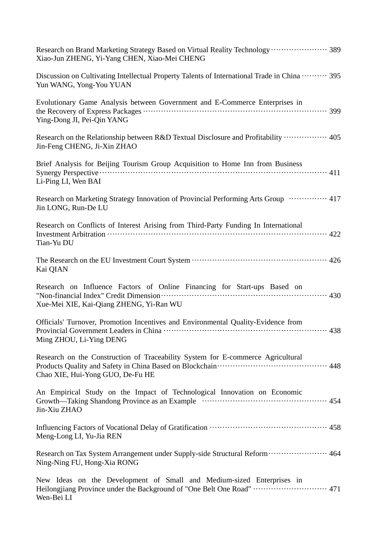| Research on Brand Marketing Strategy Based on Virtual Reality Technology  389<br>Xiao-Jun ZHENG, Yi-Yang CHEN, Xiao-Mei CHENG                                                        |
|--------------------------------------------------------------------------------------------------------------------------------------------------------------------------------------|
| Discussion on Cultivating Intellectual Property Talents of International Trade in China  395<br>Yun WANG, Yong-You YUAN                                                              |
| Evolutionary Game Analysis between Government and E-Commerce Enterprises in<br>Ying-Dong JI, Pei-Qin YANG                                                                            |
| Research on the Relationship between R&D Textual Disclosure and Profitability  405<br>Jin-Feng CHENG, Ji-Xin ZHAO                                                                    |
| Brief Analysis for Beijing Tourism Group Acquisition to Home Inn from Business<br>Li-Ping LI, Wen BAI                                                                                |
| Research on Marketing Strategy Innovation of Provincial Performing Arts Group  417<br>Jin LONG, Run-De LU                                                                            |
| Research on Conflicts of Interest Arising from Third-Party Funding In International<br>Tian-Yu DU                                                                                    |
| Kai QIAN                                                                                                                                                                             |
| Research on Influence Factors of Online Financing for Start-ups Based on<br>"Non-financial Index" Credit Dimension (1990) 2007 (1990) 230<br>Xue-Mei XIE, Kai-Qiang ZHENG, Yi-Ran WU |
| Officials' Turnover, Promotion Incentives and Environmental Quality-Evidence from<br>Ming ZHOU, Li-Ying DENG                                                                         |
| Research on the Construction of Traceability System for E-commerce Agricultural<br>Chao XIE, Hui-Yong GUO, De-Fu HE                                                                  |
| An Empirical Study on the Impact of Technological Innovation on Economic<br>Growth—Taking Shandong Province as an Example ……………………………………………………… 454<br>Jin-Xiu ZHAO                  |
| Meng-Long LI, Yu-Jia REN                                                                                                                                                             |
| Research on Tax System Arrangement under Supply-side Structural Reform  464<br>Ning-Ning FU, Hong-Xia RONG                                                                           |
| New Ideas on the Development of Small and Medium-sized Enterprises in<br>Wen-Bei LI                                                                                                  |